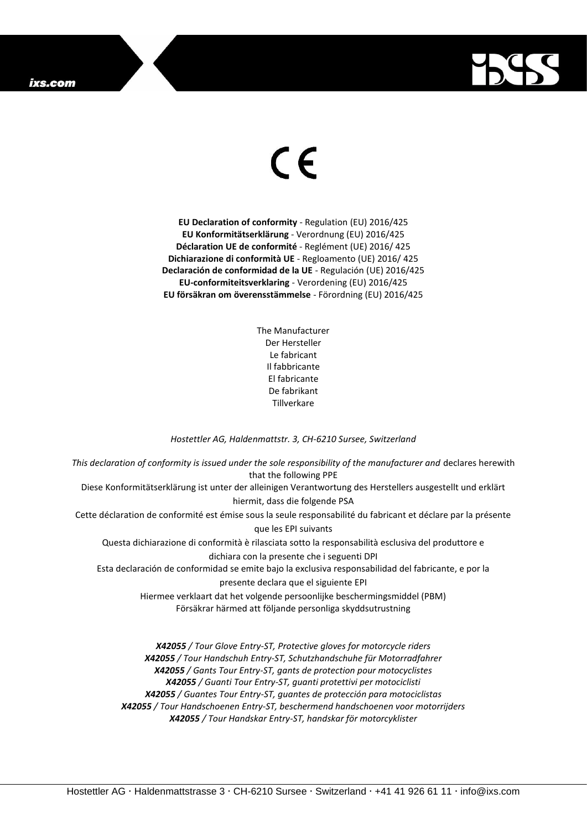## ixs.com



## $\epsilon$

**EU Declaration of conformity** - Regulation (EU) 2016/425 **EU Konformitätserklärung** - Verordnung (EU) 2016/425 **Déclaration UE de conformité** - Reglément (UE) 2016/ 425 **Dichiarazione di conformità UE** - Regloamento (UE) 2016/ 425 **Declaración de conformidad de la UE** - Regulación (UE) 2016/425 **EU-conformiteitsverklaring** - Verordening (EU) 2016/425 **EU försäkran om överensstämmelse** - Förordning (EU) 2016/425

> The Manufacturer Der Hersteller Le fabricant Il fabbricante El fabricante De fabrikant Tillverkare

## *Hostettler AG, Haldenmattstr. 3, CH-6210 Sursee, Switzerland*

*This declaration of conformity is issued under the sole responsibility of the manufacturer and* declares herewith that the following PPE Diese Konformitätserklärung ist unter der alleinigen Verantwortung des Herstellers ausgestellt und erklärt hiermit, dass die folgende PSA Cette déclaration de conformité est émise sous la seule responsabilité du fabricant et déclare par la présente que les EPI suivants Questa dichiarazione di conformità è rilasciata sotto la responsabilità esclusiva del produttore e dichiara con la presente che i seguenti DPI Esta declaración de conformidad se emite bajo la exclusiva responsabilidad del fabricante, e por la presente declara que el siguiente EPI Hiermee verklaart dat het volgende persoonlijke beschermingsmiddel (PBM) Försäkrar härmed att följande personliga skyddsutrustning

*X42055 / Tour Glove Entry-ST, Protective gloves for motorcycle riders X42055 / Tour Handschuh Entry-ST, Schutzhandschuhe für Motorradfahrer X42055 / Gants Tour Entry-ST, gants de protection pour motocyclistes X42055 / Guanti Tour Entry-ST, guanti protettivi per motociclisti X42055 / Guantes Tour Entry-ST, guantes de protección para motociclistas X42055 / Tour Handschoenen Entry-ST, beschermend handschoenen voor motorrijders X42055 / Tour Handskar Entry-ST, handskar för motorcyklister*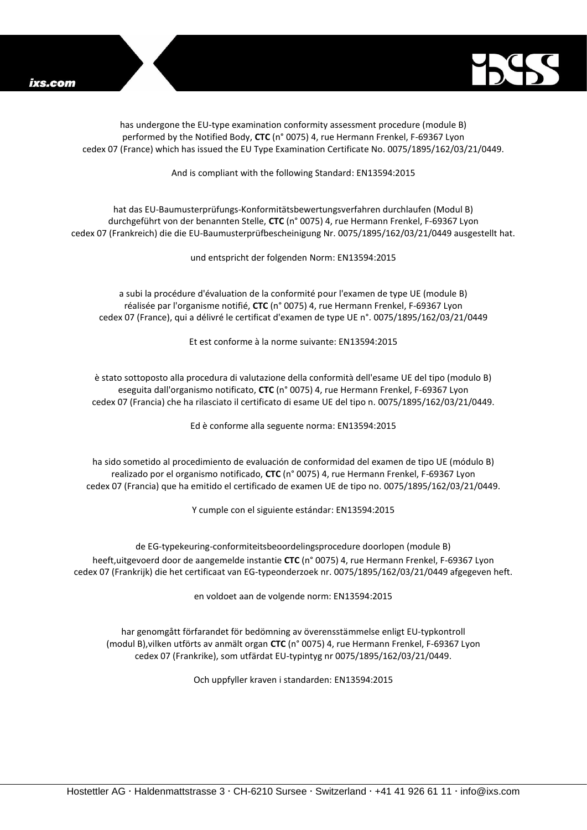

has undergone the EU-type examination conformity assessment procedure (module B) performed by the Notified Body, **CTC** (n° 0075) 4, rue Hermann Frenkel, F-69367 Lyon cedex 07 (France) which has issued the EU Type Examination Certificate No. 0075/1895/162/03/21/0449.

And is compliant with the following Standard: EN13594:2015

hat das EU-Baumusterprüfungs-Konformitätsbewertungsverfahren durchlaufen (Modul B) durchgeführt von der benannten Stelle, **CTC** (n° 0075) 4, rue Hermann Frenkel, F-69367 Lyon cedex 07 (Frankreich) die die EU-Baumusterprüfbescheinigung Nr. 0075/1895/162/03/21/0449 ausgestellt hat.

und entspricht der folgenden Norm: EN13594:2015

a subi la procédure d'évaluation de la conformité pour l'examen de type UE (module B) réalisée par l'organisme notifié, **CTC** (n° 0075) 4, rue Hermann Frenkel, F-69367 Lyon cedex 07 (France), qui a délivré le certificat d'examen de type UE n°. 0075/1895/162/03/21/0449

Et est conforme à la norme suivante: EN13594:2015

è stato sottoposto alla procedura di valutazione della conformità dell'esame UE del tipo (modulo B) eseguita dall'organismo notificato, **CTC** (n° 0075) 4, rue Hermann Frenkel, F-69367 Lyon cedex 07 (Francia) che ha rilasciato il certificato di esame UE del tipo n. 0075/1895/162/03/21/0449.

Ed è conforme alla seguente norma: EN13594:2015

ha sido sometido al procedimiento de evaluación de conformidad del examen de tipo UE (módulo B) realizado por el organismo notificado, **CTC** (n° 0075) 4, rue Hermann Frenkel, F-69367 Lyon cedex 07 (Francia) que ha emitido el certificado de examen UE de tipo no. 0075/1895/162/03/21/0449.

Y cumple con el siguiente estándar: EN13594:2015

de EG-typekeuring-conformiteitsbeoordelingsprocedure doorlopen (module B) heeft,uitgevoerd door de aangemelde instantie **CTC** (n° 0075) 4, rue Hermann Frenkel, F-69367 Lyon cedex 07 (Frankrijk) die het certificaat van EG-typeonderzoek nr. 0075/1895/162/03/21/0449 afgegeven heft.

en voldoet aan de volgende norm: EN13594:2015

har genomgått förfarandet för bedömning av överensstämmelse enligt EU-typkontroll (modul B),vilken utförts av anmält organ **CTC** (n° 0075) 4, rue Hermann Frenkel, F-69367 Lyon cedex 07 (Frankrike), som utfärdat EU-typintyg nr 0075/1895/162/03/21/0449.

Och uppfyller kraven i standarden: EN13594:2015